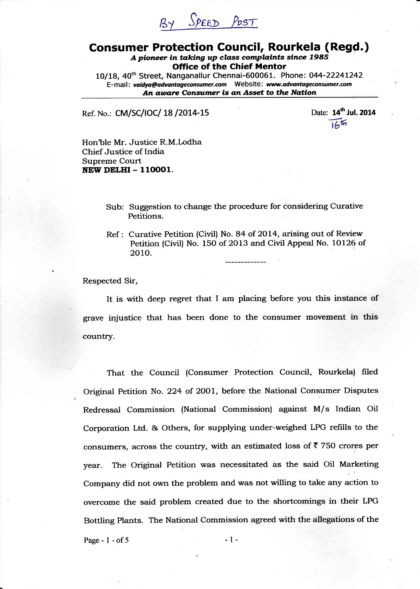# EL Sper> Prsr

## **Consumer Protection Council, Rourkela (Regd.)** A pioneer in taking up class complaints since  $1985$ Office of the Chief Mentor

10/18, 4oth Street, Nanganallur Chennai-600061. Phone: 044-2224L242 E-mail: vaidya@advantageconsumer.com Website: www.advantageconsumer.com An aware Consumer is an Asset to the Nation

Ref. No.: CM/SC/IOC/ 18/2014-15

Date: 14<sup>th</sup> Jul. 2014  $16\%$ 

Hon'ble Mr. Justice R.M.Lodha Chief Justice of India Supreme Court NEW DELHI - 110001.

- Sub: Suggestion to change the procedure for considering Curative Petitions.
- Ref : Curative Petition (Civil) No. 84 of 2014, arising out of Review Petition (Civil) No. 150 of 2013 and Civil Appeal No. 10126 of 2010.

Respected Sir,

It is with deep regret that I am placing before you this instance of grave injustice that has been done to the consumer movement in this country.

That the Council (Consumer Protection Council, Rourkela) filed Original Petition No. 224 of 2OO1, before the National Consumer Disputes Redressal Commission (National Commission) against M/s Indian Oil Corporation Ltd. & Others, for supplying under-weighed LPG refills to the consumers, across the country, with an estimated loss of  $\bar{\tau}$  750 crores per year. The Original Petition was necessitated as the said Oil Marketing Company did not own the problem and was not willing to take any action to overcome the said problem created due to the shortcomings in their LPG Bottling Plants. The National Commission agreed with the allegations of the

Page -  $1 - of 5$  -  $1 -$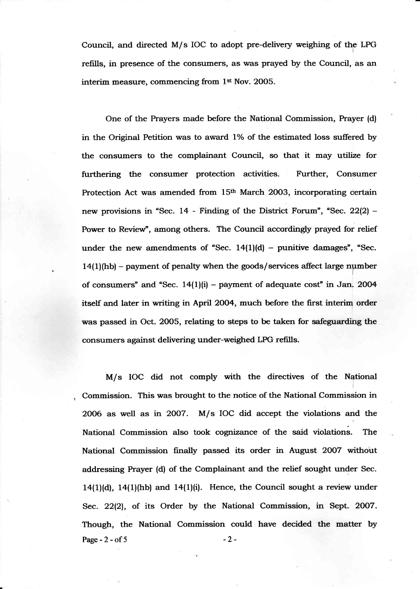Council, and directed M/s IOC to adopt pre-delivery weighing of the LPG refills, in presence of the consumers, as was prayed by the Council, as an interim measure, commencing from 1st Nov. 2OO5.

One of the Prayers made before the National Commission, Prayer (d) in the Original Petition was to award 1% of the estimated loss suffered by the consumers to the complainant Council, so that it may utilize for furthering the consumer protection activities. Further, Consumer Protection Act was amended from 15<sup>th</sup> March 2003, incorporating certain new provisions in "Sec.  $14$  - Finding of the District Forum", "Sec.  $22(2)$  -Power to Review", among others. The Council accordingly prayed for relief under the new amendments of "Sec.  $14(1)(d)$  – punitive damages", "Sec.  $14(1)$ (hb) – payment of penalty when the goods/services affect large number of consumers" and "Sec.  $14(1)(i)$  – payment of adequate cost" in Jan, 2004 itself and later in writing in April 2004, much before the first interim order was passed in Oct. 2005, relating to steps to be taken for safeguarding the consumers against delivering under-weighed LPG refills.

M/s IOC did not comply with the directives of the National Commission. This was brought to the notice of the National Commission in 2006 as well as in 2OO7. M/s IOC did accept the violations and the National Commission also took cognizance of the said violations. The National Commission finally passed its order in August 2007 without addressing Prayer (d) of the Complainant and the relief sought under Sec.  $14(1)(d)$ ,  $14(1)(hb)$  and  $14(1)(i)$ . Hence, the Council sought a review under Sec. 22(2), of its Order by the National Commission, in Sept. 2007. Though, the National Commission could have decided the matter by Page -  $2 - of 5$  -  $2 -$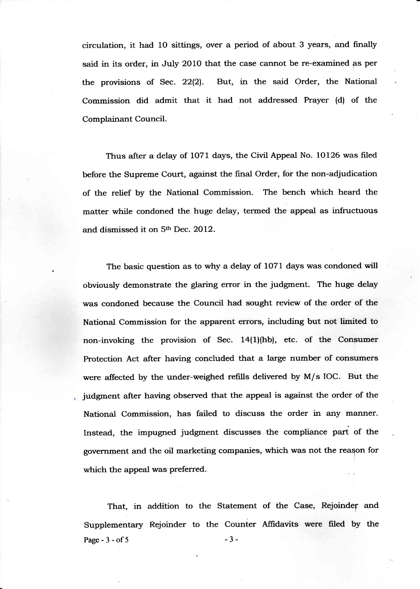circulation, it had 1O sittings, over a period of about 3 years, and finally said in its order, in July 2010 that the case cannot be re-examined as per the provisions of Sec. 22(2). But, in the said Order, the National Commission did admit that it had not addressed Prayer (d) of the Complainant Council.

Thus after a delay of 1071 days, the Civil Appeal No. 10126 was filed before the Supreme Court, against the final Order, for the non-adjudication of the relief by the National Commission. The bench which heard the matter while condoned the huge delay, termed the appeal as infructuous and dismissed it on 5<sup>th</sup> Dec. 2012.

The basic question as to why a delay of 1071 days was condoned will obviously demonstrate the glaring error in the judgment. The huge delay was condoned because the Council had sought review of the order of the National Commission for the apparent errors, including but not limited to non-invoking the provision of Sec. 14(1)(hb), etc. of the Congumer Protection Act after having concluded that a large number of consumers were affected by the under-weighed refills delivered by M/s IOC. But the judgment after having observed that the appeal is against the order of the National Commission, has failed to discuss the order in any manner. Instead, the impugned judgment discusses the compliance part of the government and the oil marketing companies, which was not the reaqon for which the appeal was preferred.

That, in addition to the Statement of the Case, Rejoinder and Supplementary Rejoinder to the Counter Affidavits were filed by the Page -  $3 - of 5$ -3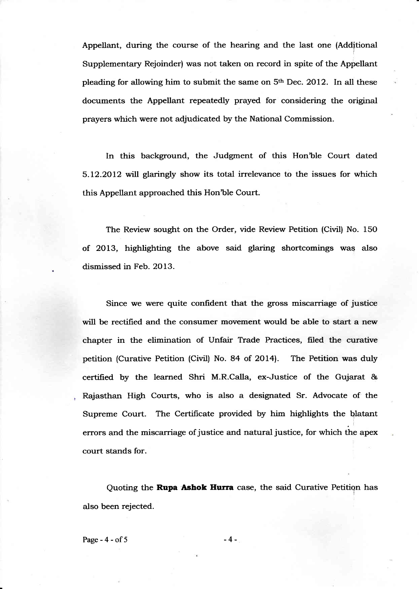Appellant, during the course of the hearing and the last one (Additional Supplementary Rejoinder) was not taken on record in spite of the Appellant pleading for allowing him to submit the same on  $5<sup>th</sup>$  Dec. 2012. In all these documents the Appellant repeatedly prayed for considering the original prayers which were not adjudicated by the National Commission.

In this background, the Judgment of this Hon'ble Court dated 5.L2.2OL2 will glaringly show its total irrelevance to the issues for which this Appellant approached this Hon'ble Court.

The Review sought on the Order, vide Review Petition (Civil) No. 15O of 2OL3, highlighting the above said glaring shortcomings was also dismissed in Feb. 2OI3.

Since we were quite confident that the gross miscarriage of justice will be rectified and the consumer movement would be able to start a new chapter in the elimination of Unfair Trade Practices, filed the curative petition (Curative Petition (Civil) No. 84 of 2OI4). The Petition was duly certified by the learned Shri M.R.Calla, ex-Justice of the Gujarat & Rajasthan High Courts, who is also a designated Sr. Advocate of the Supreme Court. The Certificate provided by him highlights the blatant errors and the miscarriage of justice and natural justice, for which the  $\mathcal{L}$ court stands for.

Quoting the Rupa Ashok Hurra case, the said Curative Petition has also been rejected.

Page -  $4 - of 5$  -4 -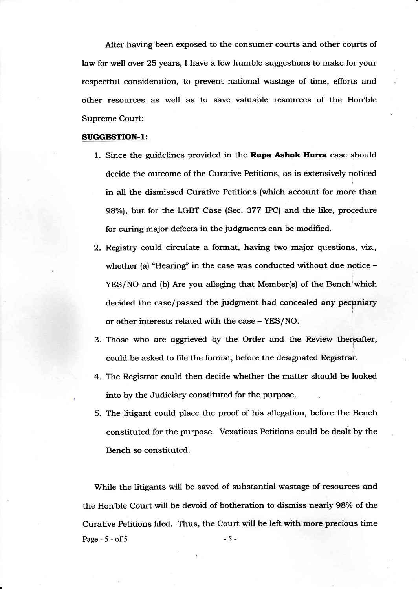After having been exposed to the consumer courts and other courts of law for well over 25 years, I have a few humble suggestions to make for your respectful consideration, to prevent national wastage of time, efforts and other resources as well as to save valuable resources of the Hon'ble Supreme Court:

#### SUGGESTION-1:

- 1. Since the guidelines provided in the **Rupa Ashok Hurra** case should decide the outcome of the Curative Petitions, as is extensively noticed in all the dismissed Curative Petitions (which account for morp than 98%), but for the LGBT Case (Sec. 377 IPC) and the like, procedure for curing major defects in the judgments can be modified.
- 2. Registry could circulate a format, having two major questions, viz., whether (a) "Hearing" in the case was conducted without due notice  $-$ YES/NO and (b) Are you alleging that Member(s) of the Bench which decided the case/passed the judgment had concealed any pecuniary or other interests related with the case - YES/NO.
- 3. Those who are aggrieved by the Order and the Review thereafter, could be asked to file the format, before the designated Registrar.
- 4. The Registrar could then decide whether the matter should be looked into by the Judiciary constituted for the purpose.
- 5. The litigant could place the proof of his allegation, before the Bench constituted for the purpose. Vexatious Petitions could be dealt by the Bench so constituted.

While the litigants will be saved of substantial wastage of resources and the Hon'ble Court will be devoid of botheration to dismiss nearly 98% of the Curative Petitions filed. Thus, the Court will be left with more precious time Page -  $5 - of 5$  -  $5 - 5$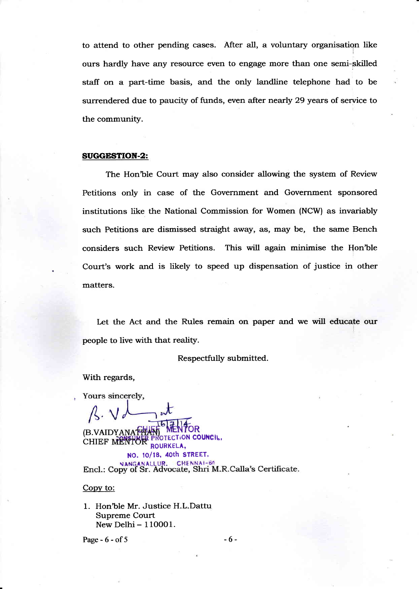to attend to other pending cases. After all, a voluntary organisation like ours hardly have any resource even to engage more than one semi-skilled staff on a part-time basis, and the only landline telephone had to be surrendered due to paucity of funds, even after nearly 29 years of service to the community.

#### SUGGESTION.2:

The Hon'ble Court may also consider allowing the system of Review Petitions only in case of the Government and Government sponsored institutions like the National Commission for Women (NCW) as invariably such Petitions are dismissed straight away, as, may be, the same Bench considers such Review Petitions. This will again minimise the Hon'ble Court's work and is likely to speed up dispensation of justice in other matters.

Let the Act and the Rules remain on paper and we will educate our people to live with that reality.

Respectfully submitted.

With regards,

Yours sincerely,

(B.VAIDYANATHA OTECTION COUNCIL, **CHIEF MENTOR** ROURKELA, NO. 10/18, 40th STREET,<br>INGANALLUR. CHENNAI-64 Encl.: Copy of Sr. Advocate, Shri M.R.Calla's Certificate.

### Copv to:

1. Hon'ble Mr. Justice H.L.Dattu Supreme Court New Delhi - 110001.

Page - 6 - of 5